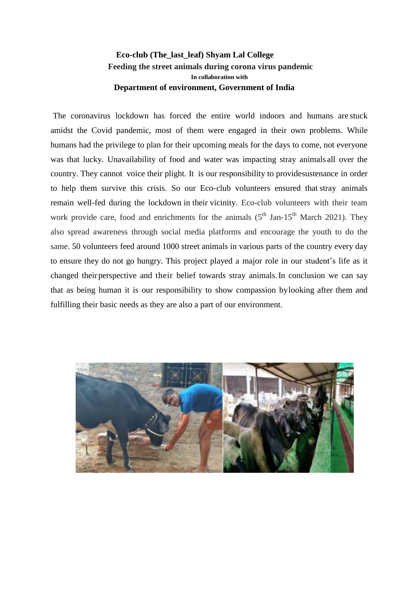## **Eco-club (The\_last\_leaf) Shyam Lal College Feeding the street animals during corona virus pandemic In collaboration with Department of environment, Government of India**

The coronavirus lockdown has forced the entire world indoors and humans are stuck amidst the Covid pandemic, most of them were engaged in their own problems. While humans had the privilege to plan for their upcoming meals for the days to come, not everyone was that lucky. Unavailability of food and water was impacting stray animals all over the country. They cannot voice their plight. It is our responsibility to providesustenance in order to help them survive this crisis. So our Eco-club volunteers ensured that stray animals remain well-fed during the lockdown in their vicinity. Eco-club volunteers with their team work provide care, food and enrichments for the animals  $(5<sup>th</sup> Jan-15<sup>th</sup> March 2021)$ . They also spread awareness through social media platforms and encourage the youth to do the same. 50 volunteers feed around 1000 street animals in various parts of the country every day to ensure they do not go hungry. This project played a major role in our student's life as it changed their perspective and their belief towards stray animals. In conclusion we can say that as being human it is our responsibility to show compassion bylooking after them and fulfilling their basic needs as they are also a part of our environment.

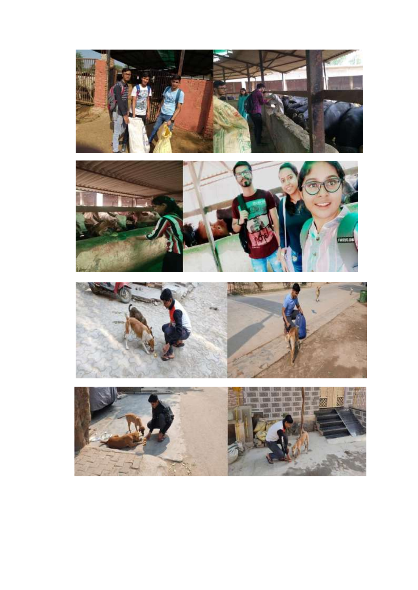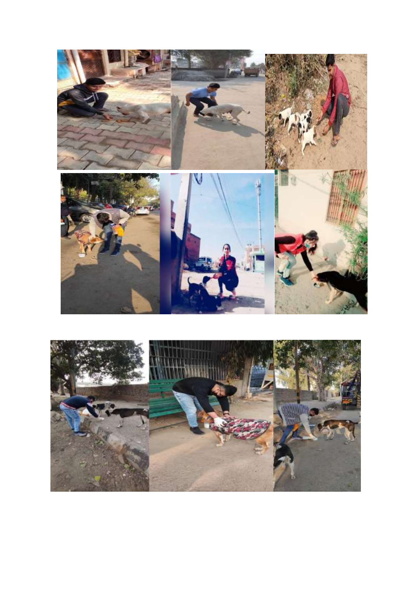